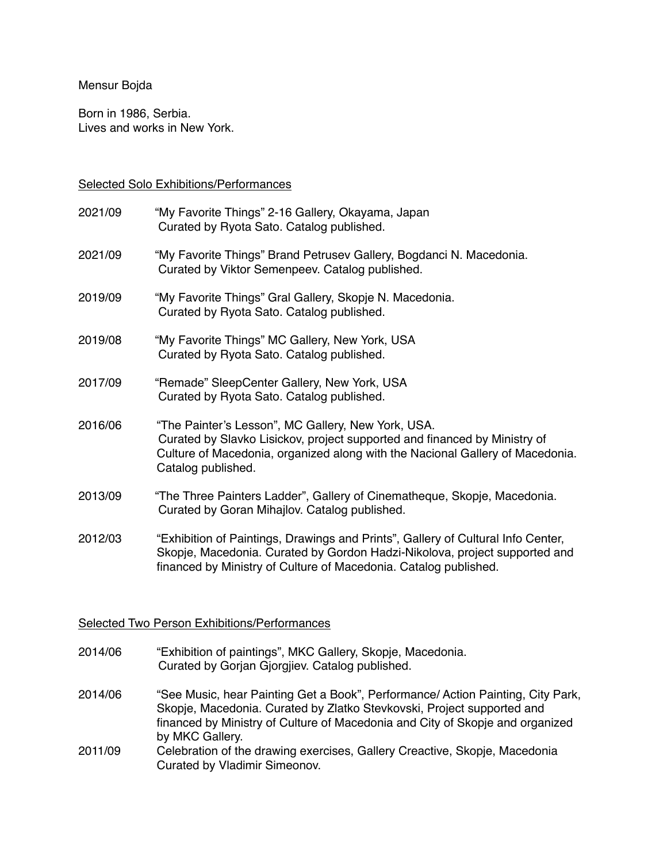#### Mensur Bojda

Born in 1986, Serbia. Lives and works in New York.

#### Selected Solo Exhibitions/Performances

| 2021/09 | "My Favorite Things" 2-16 Gallery, Okayama, Japan<br>Curated by Ryota Sato. Catalog published.                                                                                                                                         |
|---------|----------------------------------------------------------------------------------------------------------------------------------------------------------------------------------------------------------------------------------------|
| 2021/09 | "My Favorite Things" Brand Petrusev Gallery, Bogdanci N. Macedonia.<br>Curated by Viktor Semenpeev. Catalog published.                                                                                                                 |
| 2019/09 | "My Favorite Things" Gral Gallery, Skopje N. Macedonia.<br>Curated by Ryota Sato. Catalog published.                                                                                                                                   |
| 2019/08 | "My Favorite Things" MC Gallery, New York, USA<br>Curated by Ryota Sato. Catalog published.                                                                                                                                            |
| 2017/09 | "Remade" SleepCenter Gallery, New York, USA<br>Curated by Ryota Sato. Catalog published.                                                                                                                                               |
| 2016/06 | "The Painter's Lesson", MC Gallery, New York, USA.<br>Curated by Slavko Lisickov, project supported and financed by Ministry of<br>Culture of Macedonia, organized along with the Nacional Gallery of Macedonia.<br>Catalog published. |
| 2013/09 | "The Three Painters Ladder", Gallery of Cinematheque, Skopje, Macedonia.<br>Curated by Goran Mihajlov. Catalog published.                                                                                                              |
| 2012/03 | "Exhibition of Paintings, Drawings and Prints", Gallery of Cultural Info Center,<br>Skopje, Macedonia. Curated by Gordon Hadzi-Nikolova, project supported and<br>financed by Ministry of Culture of Macedonia. Catalog published.     |

### Selected Two Person Exhibitions/Performances

- 2014/06 "Exhibition of paintings", MKC Gallery, Skopje, Macedonia. Curated by Gorjan Gjorgjiev. Catalog published.
- 2014/06 "See Music, hear Painting Get a Book", Performance/ Action Painting, City Park, Skopje, Macedonia. Curated by Zlatko Stevkovski, Project supported and financed by Ministry of Culture of Macedonia and City of Skopje and organized by MKC Gallery.
- 2011/09 Celebration of the drawing exercises, Gallery Creactive, Skopje, Macedonia Curated by Vladimir Simeonov.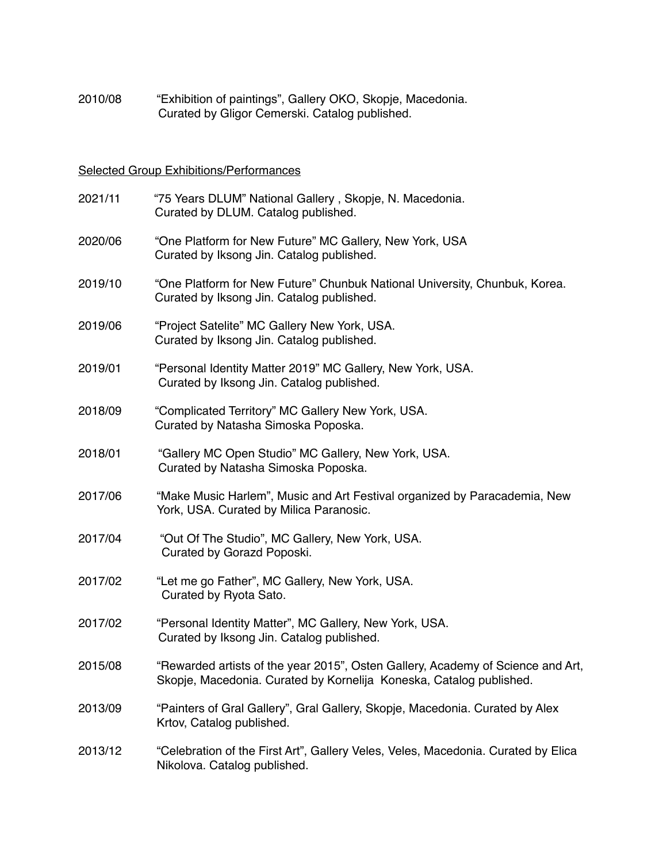2010/08 "Exhibition of paintings", Gallery OKO, Skopje, Macedonia. Curated by Gligor Cemerski. Catalog published.

# Selected Group Exhibitions/Performances

| 2021/11 | "75 Years DLUM" National Gallery, Skopje, N. Macedonia.<br>Curated by DLUM. Catalog published.                                                         |
|---------|--------------------------------------------------------------------------------------------------------------------------------------------------------|
| 2020/06 | "One Platform for New Future" MC Gallery, New York, USA<br>Curated by Iksong Jin. Catalog published.                                                   |
| 2019/10 | "One Platform for New Future" Chunbuk National University, Chunbuk, Korea.<br>Curated by Iksong Jin. Catalog published.                                |
| 2019/06 | "Project Satelite" MC Gallery New York, USA.<br>Curated by Iksong Jin. Catalog published.                                                              |
| 2019/01 | "Personal Identity Matter 2019" MC Gallery, New York, USA.<br>Curated by Iksong Jin. Catalog published.                                                |
| 2018/09 | "Complicated Territory" MC Gallery New York, USA.<br>Curated by Natasha Simoska Poposka.                                                               |
| 2018/01 | "Gallery MC Open Studio" MC Gallery, New York, USA.<br>Curated by Natasha Simoska Poposka.                                                             |
| 2017/06 | "Make Music Harlem", Music and Art Festival organized by Paracademia, New<br>York, USA. Curated by Milica Paranosic.                                   |
| 2017/04 | "Out Of The Studio", MC Gallery, New York, USA.<br>Curated by Gorazd Poposki.                                                                          |
| 2017/02 | "Let me go Father", MC Gallery, New York, USA.<br>Curated by Ryota Sato.                                                                               |
| 2017/02 | "Personal Identity Matter", MC Gallery, New York, USA.<br>Curated by Iksong Jin. Catalog published.                                                    |
| 2015/08 | "Rewarded artists of the year 2015", Osten Gallery, Academy of Science and Art,<br>Skopje, Macedonia. Curated by Kornelija Koneska, Catalog published. |
| 2013/09 | "Painters of Gral Gallery", Gral Gallery, Skopje, Macedonia. Curated by Alex<br>Krtov, Catalog published.                                              |
| 2013/12 | "Celebration of the First Art", Gallery Veles, Veles, Macedonia. Curated by Elica<br>Nikolova. Catalog published.                                      |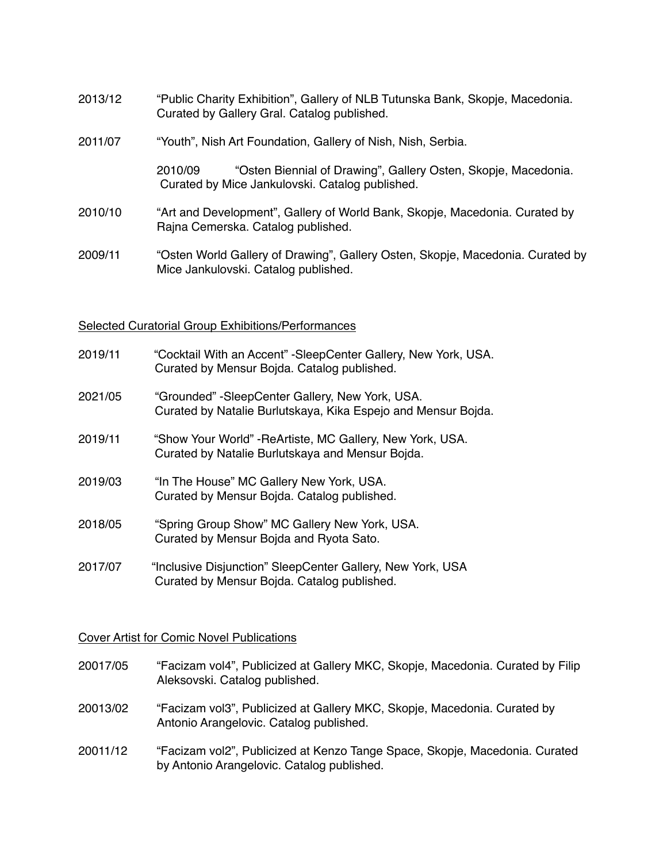- 2013/12 "Public Charity Exhibition", Gallery of NLB Tutunska Bank, Skopje, Macedonia. Curated by Gallery Gral. Catalog published.
- 2011/07 "Youth", Nish Art Foundation, Gallery of Nish, Nish, Serbia.

 2010/09 "Osten Biennial of Drawing", Gallery Osten, Skopje, Macedonia. Curated by Mice Jankulovski. Catalog published.

- 2010/10 "Art and Development", Gallery of World Bank, Skopje, Macedonia. Curated by Rajna Cemerska. Catalog published.
- 2009/11 "Osten World Gallery of Drawing", Gallery Osten, Skopje, Macedonia. Curated by Mice Jankulovski. Catalog published.

#### Selected Curatorial Group Exhibitions/Performances

- 2019/11 "Cocktail With an Accent" -SleepCenter Gallery, New York, USA. Curated by Mensur Bojda. Catalog published.
- 2021/05 "Grounded" -SleepCenter Gallery, New York, USA. Curated by Natalie Burlutskaya, Kika Espejo and Mensur Bojda.
- 2019/11 "Show Your World" ReArtiste, MC Gallery, New York, USA. Curated by Natalie Burlutskaya and Mensur Bojda.
- 2019/03 "In The House" MC Gallery New York, USA. Curated by Mensur Bojda. Catalog published.
- 2018/05 "Spring Group Show" MC Gallery New York, USA. Curated by Mensur Bojda and Ryota Sato.
- 2017/07 "Inclusive Disjunction" SleepCenter Gallery, New York, USA Curated by Mensur Bojda. Catalog published.

#### Cover Artist for Comic Novel Publications

- 20017/05 "Facizam vol4", Publicized at Gallery MKC, Skopje, Macedonia. Curated by Filip Aleksovski. Catalog published.
- 20013/02 "Facizam vol3", Publicized at Gallery MKC, Skopje, Macedonia. Curated by Antonio Arangelovic. Catalog published.
- 20011/12 "Facizam vol2", Publicized at Kenzo Tange Space, Skopje, Macedonia. Curated by Antonio Arangelovic. Catalog published.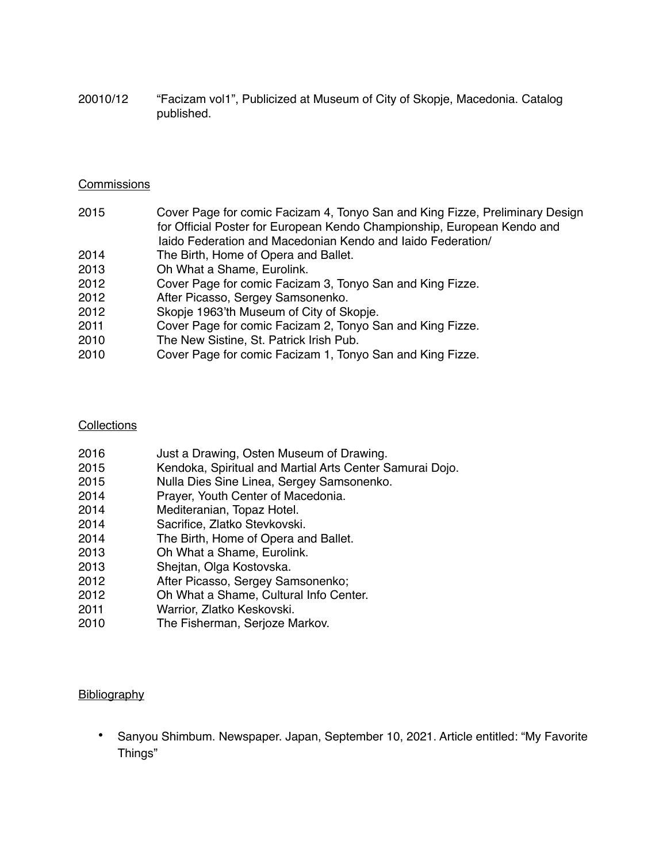20010/12 "Facizam vol1", Publicized at Museum of City of Skopje, Macedonia. Catalog published.

#### **Commissions**

| 2015 | Cover Page for comic Facizam 4, Tonyo San and King Fizze, Preliminary Design |
|------|------------------------------------------------------------------------------|
|      | for Official Poster for European Kendo Championship, European Kendo and      |
|      | laido Federation and Macedonian Kendo and laido Federation/                  |
| 2014 | The Birth, Home of Opera and Ballet.                                         |
| 2013 | Oh What a Shame, Eurolink.                                                   |
| 2012 | Cover Page for comic Facizam 3, Tonyo San and King Fizze.                    |
| 0010 | After Diegone, Cargou Camponenke                                             |

- 2012 After Picasso, Sergey Samsonenko.
- 2012 Skopje 1963'th Museum of City of Skopje.
- 2011 Cover Page for comic Facizam 2, Tonyo San and King Fizze.
- 2010 The New Sistine, St. Patrick Irish Pub.
- 2010 Cover Page for comic Facizam 1, Tonyo San and King Fizze.

### **Collections**

| 2016 | Just a Drawing, Osten Museum of Drawing.                 |
|------|----------------------------------------------------------|
| 2015 | Kendoka, Spiritual and Martial Arts Center Samurai Dojo. |
| 2015 | Nulla Dies Sine Linea, Sergey Samsonenko.                |
| 2014 | Prayer, Youth Center of Macedonia.                       |
| 2014 | Mediteranian, Topaz Hotel.                               |
| 2014 | Sacrifice, Zlatko Stevkovski.                            |
| 2014 | The Birth, Home of Opera and Ballet.                     |
| 2013 | Oh What a Shame, Eurolink.                               |
| 2013 | Shejtan, Olga Kostovska.                                 |
| 2012 | After Picasso, Sergey Samsonenko;                        |
| 2012 | Oh What a Shame, Cultural Info Center.                   |
| 2011 | Warrior, Zlatko Keskovski.                               |
| 2010 | The Fisherman, Serjoze Markov.                           |

## **Bibliography**

• Sanyou Shimbum. Newspaper. Japan, September 10, 2021. Article entitled: "My Favorite Things"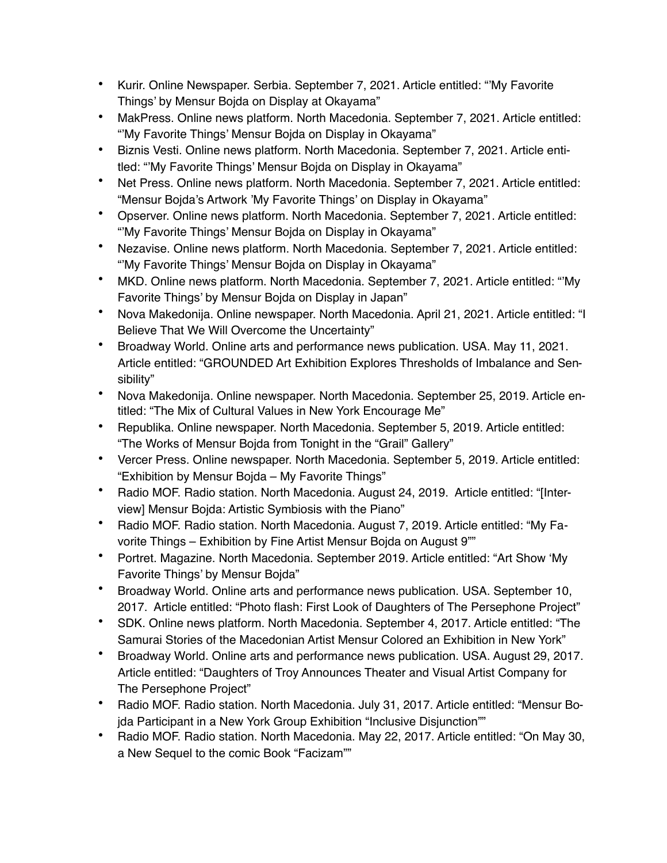- Kurir. Online Newspaper. Serbia. September 7, 2021. Article entitled: "'My Favorite Things' by Mensur Bojda on Display at Okayama"
- MakPress. Online news platform. North Macedonia. September 7, 2021. Article entitled: "'My Favorite Things' Mensur Bojda on Display in Okayama"
- Biznis Vesti. Online news platform. North Macedonia. September 7, 2021. Article entitled: "'My Favorite Things' Mensur Bojda on Display in Okayama"
- Net Press. Online news platform. North Macedonia. September 7, 2021. Article entitled: "Mensur Bojda's Artwork 'My Favorite Things' on Display in Okayama"
- Opserver. Online news platform. North Macedonia. September 7, 2021. Article entitled: "'My Favorite Things' Mensur Bojda on Display in Okayama"
- Nezavise. Online news platform. North Macedonia. September 7, 2021. Article entitled: "'My Favorite Things' Mensur Bojda on Display in Okayama"
- MKD. Online news platform. North Macedonia. September 7, 2021. Article entitled: "'My Favorite Things' by Mensur Bojda on Display in Japan"
- Nova Makedonija. Online newspaper. North Macedonia. April 21, 2021. Article entitled: "I Believe That We Will Overcome the Uncertainty"
- Broadway World. Online arts and performance news publication. USA. May 11, 2021. Article entitled: "GROUNDED Art Exhibition Explores Thresholds of Imbalance and Sensibility"
- Nova Makedonija. Online newspaper. North Macedonia. September 25, 2019. Article entitled: "The Mix of Cultural Values in New York Encourage Me"
- Republika. Online newspaper. North Macedonia. September 5, 2019. Article entitled: "The Works of Mensur Bojda from Tonight in the "Grail" Gallery"
- Vercer Press. Online newspaper. North Macedonia. September 5, 2019. Article entitled: "Exhibition by Mensur Bojda – My Favorite Things"
- Radio MOF. Radio station. North Macedonia. August 24, 2019. Article entitled: "[Interview] Mensur Bojda: Artistic Symbiosis with the Piano"
- Radio MOF. Radio station. North Macedonia. August 7, 2019. Article entitled: "My Favorite Things – Exhibition by Fine Artist Mensur Bojda on August 9""
- Portret. Magazine. North Macedonia. September 2019. Article entitled: "Art Show 'My Favorite Things' by Mensur Bojda"
- Broadway World. Online arts and performance news publication. USA. September 10, 2017. Article entitled: "Photo flash: First Look of Daughters of The Persephone Project"
- SDK. Online news platform. North Macedonia. September 4, 2017. Article entitled: "The Samurai Stories of the Macedonian Artist Mensur Colored an Exhibition in New York"
- Broadway World. Online arts and performance news publication. USA. August 29, 2017. Article entitled: "Daughters of Troy Announces Theater and Visual Artist Company for The Persephone Project"
- Radio MOF. Radio station. North Macedonia. July 31, 2017. Article entitled: "Mensur Bojda Participant in a New York Group Exhibition "Inclusive Disjunction""
- Radio MOF. Radio station. North Macedonia. May 22, 2017. Article entitled: "On May 30, a New Sequel to the comic Book "Facizam""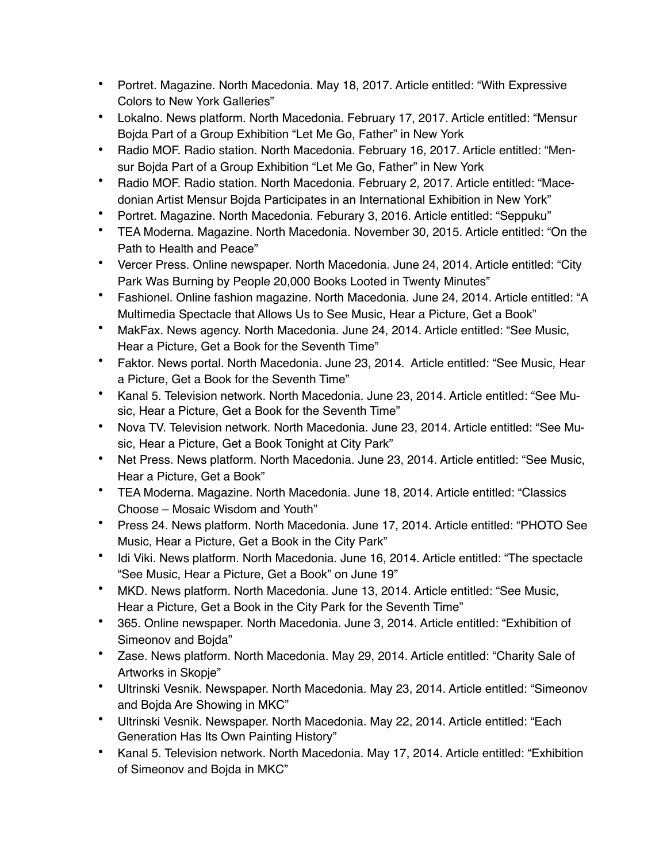- Portret. Magazine. North Macedonia. May 18, 2017. Article entitled: "With Expressive Colors to New York Galleries"
- Lokalno. News platform. North Macedonia. February 17, 2017. Article entitled: "Mensur Bojda Part of a Group Exhibition "Let Me Go, Father" in New York
- Radio MOF. Radio station. North Macedonia. February 16, 2017. Article entitled: "Mensur Bojda Part of a Group Exhibition "Let Me Go, Father" in New York
- Radio MOF. Radio station. North Macedonia. February 2, 2017. Article entitled: "Macedonian Artist Mensur Bojda Participates in an International Exhibition in New York"
- Portret. Magazine. North Macedonia. Feburary 3, 2016. Article entitled: "Seppuku"
- TEA Moderna. Magazine. North Macedonia. November 30, 2015. Article entitled: "On the Path to Health and Peace"
- Vercer Press. Online newspaper. North Macedonia. June 24, 2014. Article entitled: "City Park Was Burning by People 20,000 Books Looted in Twenty Minutes"
- Fashionel. Online fashion magazine. North Macedonia. June 24, 2014. Article entitled: "A Multimedia Spectacle that Allows Us to See Music, Hear a Picture, Get a Book"
- MakFax. News agency. North Macedonia. June 24, 2014. Article entitled: "See Music, Hear a Picture, Get a Book for the Seventh Time"
- Faktor. News portal. North Macedonia. June 23, 2014. Article entitled: "See Music, Hear a Picture, Get a Book for the Seventh Time"
- Kanal 5. Television network. North Macedonia. June 23, 2014. Article entitled: "See Music, Hear a Picture, Get a Book for the Seventh Time"
- Nova TV. Television network. North Macedonia. June 23, 2014. Article entitled: "See Music, Hear a Picture, Get a Book Tonight at City Park"
- Net Press. News platform. North Macedonia. June 23, 2014. Article entitled: "See Music, Hear a Picture, Get a Book"
- TEA Moderna. Magazine. North Macedonia. June 18, 2014. Article entitled: "Classics Choose – Mosaic Wisdom and Youth"
- Press 24. News platform. North Macedonia. June 17, 2014. Article entitled: "PHOTO See Music, Hear a Picture, Get a Book in the City Park"
- Idi Viki. News platform. North Macedonia. June 16, 2014. Article entitled: "The spectacle "See Music, Hear a Picture, Get a Book" on June 19"
- MKD. News platform. North Macedonia. June 13, 2014. Article entitled: "See Music, Hear a Picture, Get a Book in the City Park for the Seventh Time"
- 365. Online newspaper. North Macedonia. June 3, 2014. Article entitled: "Exhibition of Simeonov and Bojda"
- Zase. News platform. North Macedonia. May 29, 2014. Article entitled: "Charity Sale of Artworks in Skopje"
- Ultrinski Vesnik. Newspaper. North Macedonia. May 23, 2014. Article entitled: "Simeonov and Bojda Are Showing in MKC"
- Ultrinski Vesnik. Newspaper. North Macedonia. May 22, 2014. Article entitled: "Each Generation Has Its Own Painting History"
- Kanal 5. Television network. North Macedonia. May 17, 2014. Article entitled: "Exhibition of Simeonov and Bojda in MKC"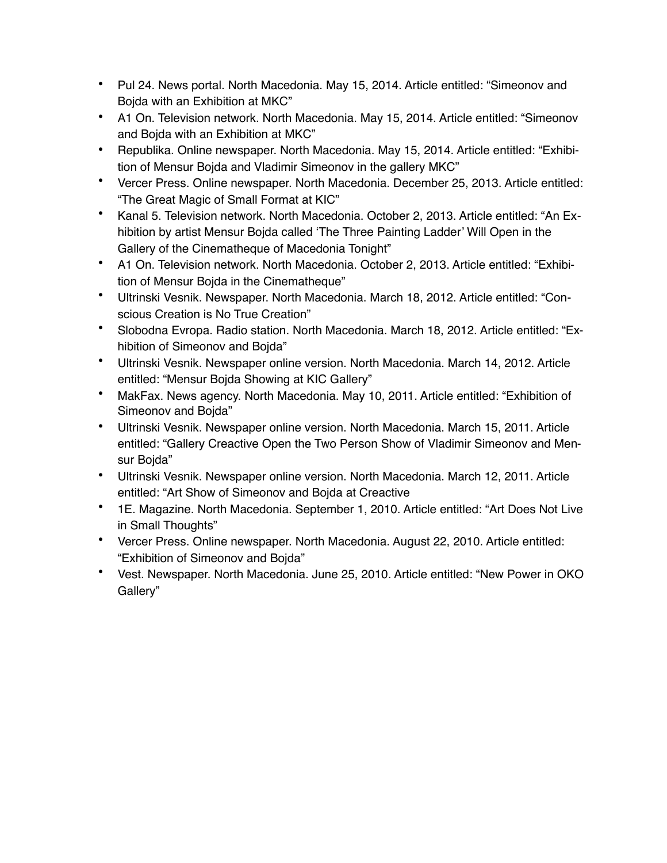- Pul 24. News portal. North Macedonia. May 15, 2014. Article entitled: "Simeonov and Bojda with an Exhibition at MKC"
- A1 On. Television network. North Macedonia. May 15, 2014. Article entitled: "Simeonov and Bojda with an Exhibition at MKC"
- Republika. Online newspaper. North Macedonia. May 15, 2014. Article entitled: "Exhibition of Mensur Bojda and Vladimir Simeonov in the gallery MKC"
- Vercer Press. Online newspaper. North Macedonia. December 25, 2013. Article entitled: "The Great Magic of Small Format at KIC"
- Kanal 5. Television network. North Macedonia. October 2, 2013. Article entitled: "An Exhibition by artist Mensur Bojda called 'The Three Painting Ladder' Will Open in the Gallery of the Cinematheque of Macedonia Tonight"
- A1 On. Television network. North Macedonia. October 2, 2013. Article entitled: "Exhibition of Mensur Bojda in the Cinematheque"
- Ultrinski Vesnik. Newspaper. North Macedonia. March 18, 2012. Article entitled: "Conscious Creation is No True Creation"
- Slobodna Evropa. Radio station. North Macedonia. March 18, 2012. Article entitled: "Exhibition of Simeonov and Bojda"
- Ultrinski Vesnik. Newspaper online version. North Macedonia. March 14, 2012. Article entitled: "Mensur Bojda Showing at KIC Gallery"
- MakFax. News agency. North Macedonia. May 10, 2011. Article entitled: "Exhibition of Simeonov and Bojda"
- Ultrinski Vesnik. Newspaper online version. North Macedonia. March 15, 2011. Article entitled: "Gallery Creactive Open the Two Person Show of Vladimir Simeonov and Mensur Bojda"
- Ultrinski Vesnik. Newspaper online version. North Macedonia. March 12, 2011. Article entitled: "Art Show of Simeonov and Bojda at Creactive
- 1E. Magazine. North Macedonia. September 1, 2010. Article entitled: "Art Does Not Live in Small Thoughts"
- Vercer Press. Online newspaper. North Macedonia. August 22, 2010. Article entitled: "Exhibition of Simeonov and Bojda"
- Vest. Newspaper. North Macedonia. June 25, 2010. Article entitled: "New Power in OKO Gallery"